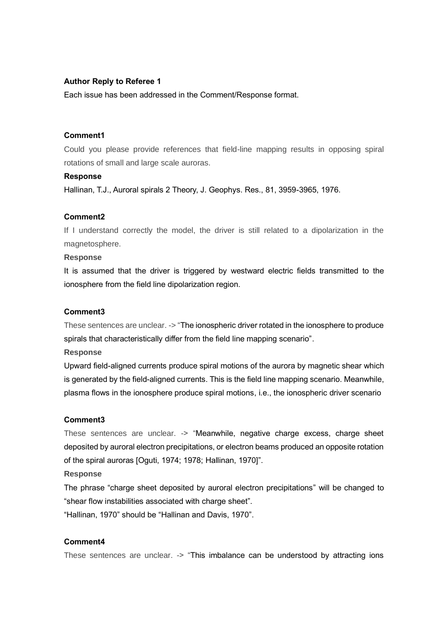## **Author Reply to Referee 1**

Each issue has been addressed in the Comment/Response format.

# **Comment1**

Could you please provide references that field-line mapping results in opposing spiral rotations of small and large scale auroras.

#### **Response**

Hallinan, T.J., Auroral spirals 2 Theory, J. Geophys. Res., 81, 3959-3965, 1976.

### **Comment2**

If I understand correctly the model, the driver is still related to a dipolarization in the magnetosphere.

#### **Response**

It is assumed that the driver is triggered by westward electric fields transmitted to the ionosphere from the field line dipolarization region.

# **Comment3**

These sentences are unclear. -> "The ionospheric driver rotated in the ionosphere to produce spirals that characteristically differ from the field line mapping scenario".

#### **Response**

Upward field-aligned currents produce spiral motions of the aurora by magnetic shear which is generated by the field-aligned currents. This is the field line mapping scenario. Meanwhile, plasma flows in the ionosphere produce spiral motions, i.e., the ionospheric driver scenario

#### **Comment3**

These sentences are unclear. -> "Meanwhile, negative charge excess, charge sheet deposited by auroral electron precipitations, or electron beams produced an opposite rotation of the spiral auroras [Oguti, 1974; 1978; Hallinan, 1970]".

## **Response**

The phrase "charge sheet deposited by auroral electron precipitations" will be changed to "shear flow instabilities associated with charge sheet".

"Hallinan, 1970" should be "Hallinan and Davis, 1970".

## **Comment4**

These sentences are unclear. -> "This imbalance can be understood by attracting ions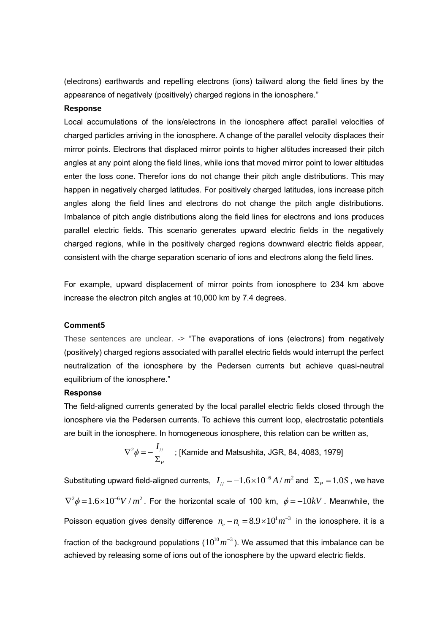(electrons) earthwards and repelling electrons (ions) tailward along the field lines by the appearance of negatively (positively) charged regions in the ionosphere."

### **Response**

Local accumulations of the ions/electrons in the ionosphere affect parallel velocities of charged particles arriving in the ionosphere. A change of the parallel velocity displaces their mirror points. Electrons that displaced mirror points to higher altitudes increased their pitch angles at any point along the field lines, while ions that moved mirror point to lower altitudes enter the loss cone. Therefor ions do not change their pitch angle distributions. This may happen in negatively charged latitudes. For positively charged latitudes, ions increase pitch angles along the field lines and electrons do not change the pitch angle distributions. Imbalance of pitch angle distributions along the field lines for electrons and ions produces parallel electric fields. This scenario generates upward electric fields in the negatively charged regions, while in the positively charged regions downward electric fields appear, consistent with the charge separation scenario of ions and electrons along the field lines.

For example, upward displacement of mirror points from ionosphere to 234 km above increase the electron pitch angles at 10,000 km by 7.4 degrees.

#### **Comment5**

These sentences are unclear. -> "The evaporations of ions (electrons) from negatively (positively) charged regions associated with parallel electric fields would interrupt the perfect neutralization of the ionosphere by the Pedersen currents but achieve quasi-neutral equilibrium of the ionosphere."

#### **Response**

The field-aligned currents generated by the local parallel electric fields closed through the ionosphere via the Pedersen currents. To achieve this current loop, electrostatic potentials are built in the ionosphere. In homogeneous ionosphere, this relation can be written as,

$$
\nabla^2 \phi = -\frac{I_{\text{H}}}{\Sigma_P}
$$
; [Kamide and Matsushita, JGR, 84, 4083, 1979]

Substituting upward field-aligned currents,  $|I_{\rm \#} \!=\! -1.6{\times}10^{-6}A$  /  $m^{2}$  and  $|\Sigma_{\rm \#} \!=\! 1.0S$  , we have  $\nabla^2 \phi = 1.6 \times 10^{-6} V/m^2$ . For the horizontal scale of 100 km,  $\phi = -10 kV$ . Meanwhile, the Poisson equation gives density difference  $n_e - n_i = 8.9 \times 10^1 m^{-3}$  in the ionosphere. it is a fraction of the background populations ( $10^{10}m^{-3}$  ). We assumed that this imbalance can be achieved by releasing some of ions out of the ionosphere by the upward electric fields.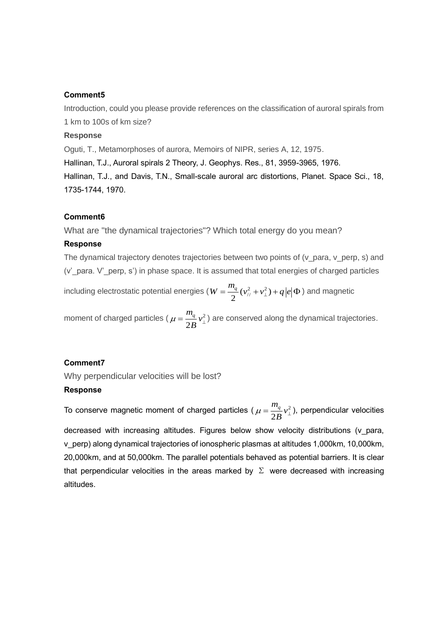### **Comment5**

Introduction, could you please provide references on the classification of auroral spirals from 1 km to 100s of km size?

### **Response**

Oguti, T., Metamorphoses of aurora, Memoirs of NIPR, series A, 12, 1975.

Hallinan, T.J., Auroral spirals 2 Theory, J. Geophys. Res., 81, 3959-3965, 1976.

Hallinan, T.J., and Davis, T.N., Small-scale auroral arc distortions, Planet. Space Sci., 18, 1735-1744, 1970.

## **Comment6**

What are "the dynamical trajectories"? Which total energy do you mean?

### **Response**

The dynamical trajectory denotes trajectories between two points of (v\_para, v\_perp, s) and (v'\_para. V'\_perp, s') in phase space. It is assumed that total energies of charged particles

including electrostatic potential energies  $(W = \frac{m_q}{2} (v_{\text{in}}^2 + v_{\text{in}}^2) + q \big| e \big| \Phi$  ) and magnetic

moment of charged particles ( $\mu = \frac{m_q}{2} v_1^2$ 2  $\frac{m_q}{2}v$ *B*  $\mu = \frac{m_q}{2 R} v_\perp^2$ ) are conserved along the dynamical trajectories.

#### **Comment7**

Why perpendicular velocities will be lost?

# **Response**

To conserve magnetic moment of charged particles (  $\mu = \frac{m_q}{2} v_{\perp}^2$ 2  $\frac{m_q}{2R}v$ *B*  $\mu = \frac{m_q}{2 R} v_\perp^2$ ), perpendicular velocities decreased with increasing altitudes. Figures below show velocity distributions (v\_para, v\_perp) along dynamical trajectories of ionospheric plasmas at altitudes 1,000km, 10,000km, 20,000km, and at 50,000km. The parallel potentials behaved as potential barriers. It is clear that perpendicular velocities in the areas marked by  $\Sigma$  were decreased with increasing altitudes.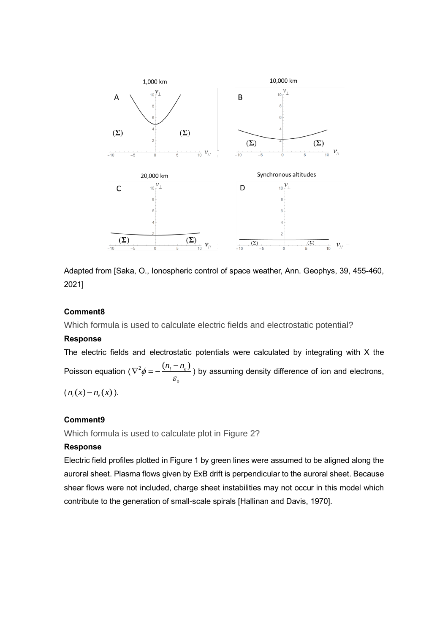

Adapted from [Saka, O., Ionospheric control of space weather, Ann. Geophys, 39, 455-460, 2021]

## **Comment8**

Which formula is used to calculate electric fields and electrostatic potential?

## **Response**

The electric fields and electrostatic potentials were calculated by integrating with X the Poisson equation (  $\nabla^2$ 0  $\phi = -\frac{(n_i - n_e)}{\varepsilon_o}$  $\nabla^2 \phi = -\frac{(n_i - n_e)}{n}$ ) by assuming density difference of ion and electrons,

 $(n_i(x) - n_e(x)).$ 

## **Comment9**

Which formula is used to calculate plot in Figure 2?

## **Response**

Electric field profiles plotted in Figure 1 by green lines were assumed to be aligned along the auroral sheet. Plasma flows given by ExB drift is perpendicular to the auroral sheet. Because shear flows were not included, charge sheet instabilities may not occur in this model which contribute to the generation of small-scale spirals [Hallinan and Davis, 1970].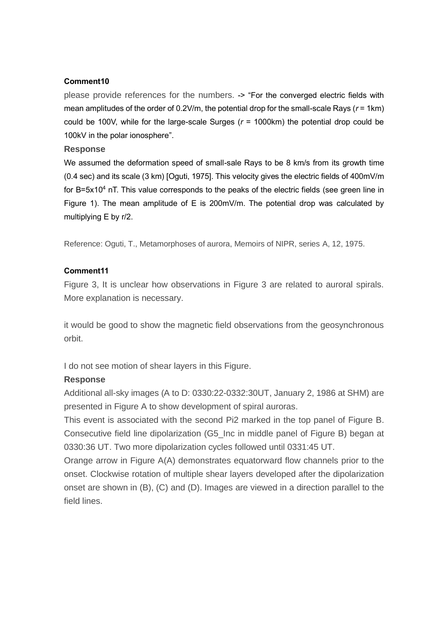# **Comment10**

please provide references for the numbers. -> "For the converged electric fields with mean amplitudes of the order of 0.2V/m, the potential drop for the small-scale Rays (*r* = 1km) could be 100V, while for the large-scale Surges  $(r = 1000 \text{km})$  the potential drop could be 100kV in the polar ionosphere".

## **Response**

We assumed the deformation speed of small-sale Rays to be 8 km/s from its growth time (0.4 sec) and its scale (3 km) [Oguti, 1975]. This velocity gives the electric fields of 400mV/m for B=5x10<sup>4</sup> nT. This value corresponds to the peaks of the electric fields (see green line in Figure 1). The mean amplitude of E is 200mV/m. The potential drop was calculated by multiplying E by r/2.

Reference: Oguti, T., Metamorphoses of aurora, Memoirs of NIPR, series A, 12, 1975.

# **Comment11**

Figure 3, It is unclear how observations in Figure 3 are related to auroral spirals. More explanation is necessary.

it would be good to show the magnetic field observations from the geosynchronous orbit.

I do not see motion of shear layers in this Figure.

# **Response**

Additional all-sky images (A to D: 0330:22-0332:30UT, January 2, 1986 at SHM) are presented in Figure A to show development of spiral auroras.

This event is associated with the second Pi2 marked in the top panel of Figure B. Consecutive field line dipolarization (G5\_Inc in middle panel of Figure B) began at 0330:36 UT. Two more dipolarization cycles followed until 0331:45 UT.

Orange arrow in Figure A(A) demonstrates equatorward flow channels prior to the onset. Clockwise rotation of multiple shear layers developed after the dipolarization onset are shown in (B), (C) and (D). Images are viewed in a direction parallel to the field lines.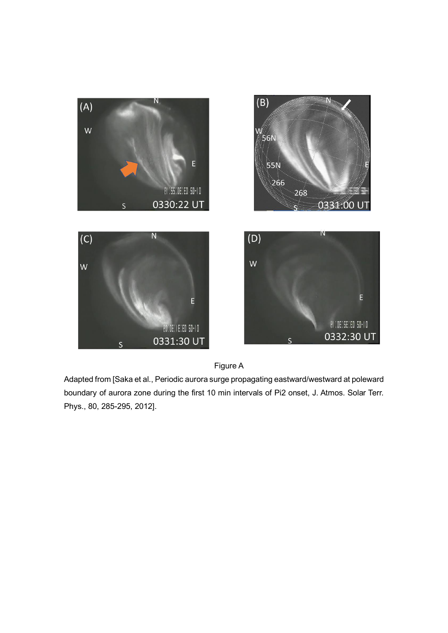



Adapted from [Saka et al., Periodic aurora surge propagating eastward/westward at poleward boundary of aurora zone during the first 10 min intervals of Pi2 onset, J. Atmos. Solar Terr. Phys., 80, 285-295, 2012].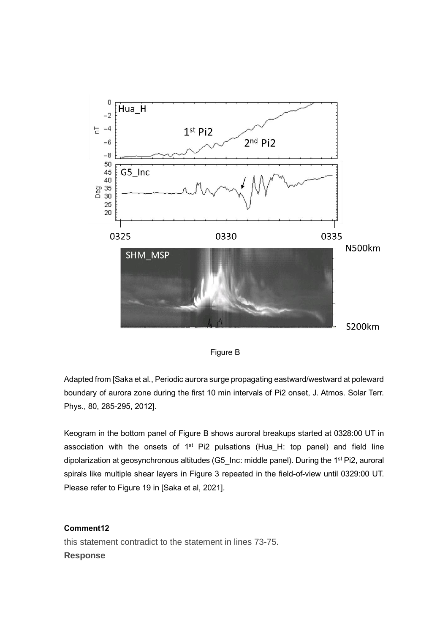



Adapted from [Saka et al., Periodic aurora surge propagating eastward/westward at poleward boundary of aurora zone during the first 10 min intervals of Pi2 onset, J. Atmos. Solar Terr. Phys., 80, 285-295, 2012].

Keogram in the bottom panel of Figure B shows auroral breakups started at 0328:00 UT in association with the onsets of  $1<sup>st</sup>$  Pi2 pulsations (Hua\_H: top panel) and field line dipolarization at geosynchronous altitudes (G5\_Inc: middle panel). During the 1<sup>st</sup> Pi2, auroral spirals like multiple shear layers in Figure 3 repeated in the field-of-view until 0329:00 UT. Please refer to Figure 19 in [Saka et al, 2021].

# **Comment12**

this statement contradict to the statement in lines 73-75. **Response**